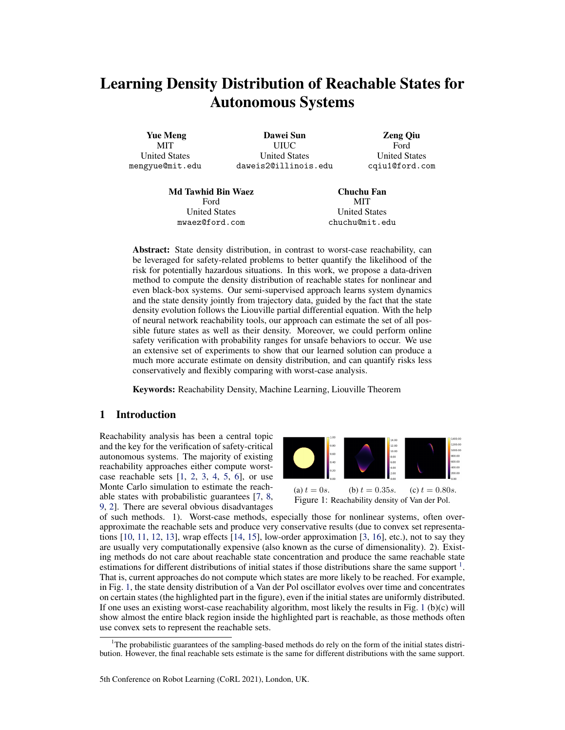# <span id="page-0-0"></span>Learning Density Distribution of Reachable States for Autonomous Systems

Yue Meng MIT United States mengyue@mit.edu

Dawei Sun UIUC United States daweis2@illinois.edu

Zeng Qiu Ford United States cqiu1@ford.com

Md Tawhid Bin Waez Ford United States mwaez@ford.com

Chuchu Fan MIT United States chuchu@mit.edu

Abstract: State density distribution, in contrast to worst-case reachability, can be leveraged for safety-related problems to better quantify the likelihood of the risk for potentially hazardous situations. In this work, we propose a data-driven method to compute the density distribution of reachable states for nonlinear and even black-box systems. Our semi-supervised approach learns system dynamics and the state density jointly from trajectory data, guided by the fact that the state density evolution follows the Liouville partial differential equation. With the help of neural network reachability tools, our approach can estimate the set of all possible future states as well as their density. Moreover, we could perform online safety verification with probability ranges for unsafe behaviors to occur. We use an extensive set of experiments to show that our learned solution can produce a much more accurate estimate on density distribution, and can quantify risks less conservatively and flexibly comparing with worst-case analysis.

Keywords: Reachability Density, Machine Learning, Liouville Theorem

## 1 Introduction

Reachability analysis has been a central topic and the key for the verification of safety-critical autonomous systems. The majority of existing reachability approaches either compute worstcase reachable sets  $[1, 2, 3, 4, 5, 6]$  $[1, 2, 3, 4, 5, 6]$  $[1, 2, 3, 4, 5, 6]$  $[1, 2, 3, 4, 5, 6]$  $[1, 2, 3, 4, 5, 6]$  $[1, 2, 3, 4, 5, 6]$  $[1, 2, 3, 4, 5, 6]$  $[1, 2, 3, 4, 5, 6]$  $[1, 2, 3, 4, 5, 6]$  $[1, 2, 3, 4, 5, 6]$  $[1, 2, 3, 4, 5, 6]$ , or use Monte Carlo simulation to estimate the reachable states with probabilistic guarantees [\[7,](#page-8-0) [8,](#page-8-0) [9,](#page-8-0) [2\]](#page-8-0). There are several obvious disadvantages





of such methods. 1). Worst-case methods, especially those for nonlinear systems, often overapproximate the reachable sets and produce very conservative results (due to convex set representations [\[10,](#page-8-0) [11,](#page-8-0) [12,](#page-8-0) [13\]](#page-8-0), wrap effects [\[14,](#page-8-0) [15\]](#page-8-0), low-order approximation [\[3,](#page-8-0) [16\]](#page-9-0), etc.), not to say they are usually very computationally expensive (also known as the curse of dimensionality). 2). Existing methods do not care about reachable state concentration and produce the same reachable state estimations for different distributions of initial states if those distributions share the same support <sup>1</sup>. That is, current approaches do not compute which states are more likely to be reached. For example, in Fig. 1, the state density distribution of a Van der Pol oscillator evolves over time and concentrates on certain states (the highlighted part in the figure), even if the initial states are uniformly distributed. If one uses an existing worst-case reachability algorithm, most likely the results in Fig. 1 (b)(c) will show almost the entire black region inside the highlighted part is reachable, as those methods often use convex sets to represent the reachable sets.

<sup>&</sup>lt;sup>1</sup>The probabilistic guarantees of the sampling-based methods do rely on the form of the initial states distribution. However, the final reachable sets estimate is the same for different distributions with the same support.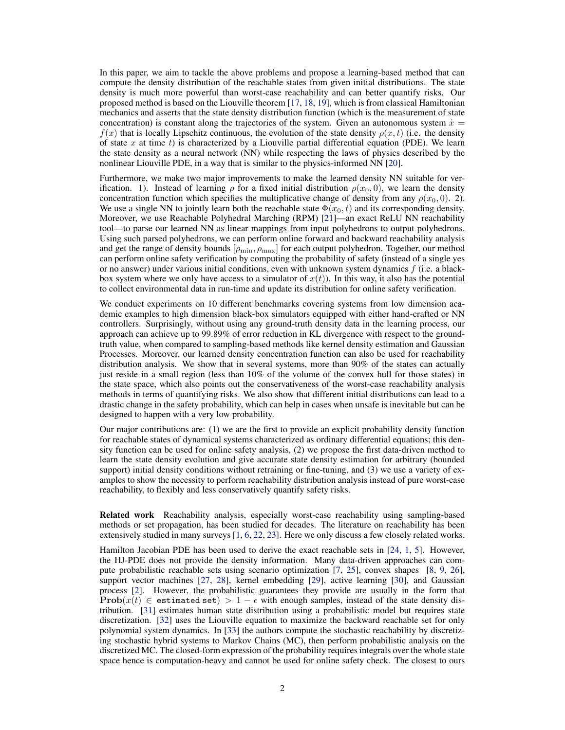In this paper, we aim to tackle the above problems and propose a learning-based method that can compute the density distribution of the reachable states from given initial distributions. The state density is much more powerful than worst-case reachability and can better quantify risks. Our proposed method is based on the Liouville theorem [\[17,](#page-9-0) [18,](#page-9-0) [19\]](#page-9-0), which is from classical Hamiltonian mechanics and asserts that the state density distribution function (which is the measurement of state concentration) is constant along the trajectories of the system. Given an autonomous system  $\dot{x} =$  $f(x)$  that is locally Lipschitz continuous, the evolution of the state density  $\rho(x, t)$  (i.e. the density of state x at time t) is characterized by a Liouville partial differential equation (PDE). We learn the state density as a neural network (NN) while respecting the laws of physics described by the nonlinear Liouville PDE, in a way that is similar to the physics-informed NN [\[20\]](#page-9-0).

Furthermore, we make two major improvements to make the learned density NN suitable for verification. 1). Instead of learning  $\rho$  for a fixed initial distribution  $\rho(x_0, 0)$ , we learn the density concentration function which specifies the multiplicative change of density from any  $\rho(x_0, 0)$ . 2). We use a single NN to jointly learn both the reachable state  $\Phi(x_0, t)$  and its corresponding density. Moreover, we use Reachable Polyhedral Marching (RPM) [\[21\]](#page-9-0)—an exact ReLU NN reachability tool—to parse our learned NN as linear mappings from input polyhedrons to output polyhedrons. Using such parsed polyhedrons, we can perform online forward and backward reachability analysis and get the range of density bounds  $[\rho_{\min}, \rho_{\max}]$  for each output polyhedron. Together, our method can perform online safety verification by computing the probability of safety (instead of a single yes or no answer) under various initial conditions, even with unknown system dynamics  $f$  (i.e. a blackbox system where we only have access to a simulator of  $x(t)$ ). In this way, it also has the potential to collect environmental data in run-time and update its distribution for online safety verification.

We conduct experiments on 10 different benchmarks covering systems from low dimension academic examples to high dimension black-box simulators equipped with either hand-crafted or NN controllers. Surprisingly, without using any ground-truth density data in the learning process, our approach can achieve up to 99.89% of error reduction in KL divergence with respect to the groundtruth value, when compared to sampling-based methods like kernel density estimation and Gaussian Processes. Moreover, our learned density concentration function can also be used for reachability distribution analysis. We show that in several systems, more than 90% of the states can actually just reside in a small region (less than 10% of the volume of the convex hull for those states) in the state space, which also points out the conservativeness of the worst-case reachability analysis methods in terms of quantifying risks. We also show that different initial distributions can lead to a drastic change in the safety probability, which can help in cases when unsafe is inevitable but can be designed to happen with a very low probability.

Our major contributions are: (1) we are the first to provide an explicit probability density function for reachable states of dynamical systems characterized as ordinary differential equations; this density function can be used for online safety analysis, (2) we propose the first data-driven method to learn the state density evolution and give accurate state density estimation for arbitrary (bounded support) initial density conditions without retraining or fine-tuning, and (3) we use a variety of examples to show the necessity to perform reachability distribution analysis instead of pure worst-case reachability, to flexibly and less conservatively quantify safety risks.

Related work Reachability analysis, especially worst-case reachability using sampling-based methods or set propagation, has been studied for decades. The literature on reachability has been extensively studied in many surveys [\[1,](#page-8-0) [6,](#page-8-0) [22,](#page-9-0) [23\]](#page-9-0). Here we only discuss a few closely related works.

Hamilton Jacobian PDE has been used to derive the exact reachable sets in [\[24,](#page-9-0) [1,](#page-8-0) [5\]](#page-8-0). However, the HJ-PDE does not provide the density information. Many data-driven approaches can compute probabilistic reachable sets using scenario optimization [\[7,](#page-8-0) [25\]](#page-9-0), convex shapes [\[8,](#page-8-0) [9,](#page-8-0) [26\]](#page-9-0), support vector machines [\[27,](#page-9-0) [28\]](#page-9-0), kernel embedding [\[29\]](#page-9-0), active learning [\[30\]](#page-9-0), and Gaussian process [\[2\]](#page-8-0). However, the probabilistic guarantees they provide are usually in the form that **Prob** $(x(t) \in$  estimated set) > 1 –  $\epsilon$  with enough samples, instead of the state density distribution. [\[31\]](#page-9-0) estimates human state distribution using a probabilistic model but requires state discretization. [\[32\]](#page-9-0) uses the Liouville equation to maximize the backward reachable set for only polynomial system dynamics. In [\[33\]](#page-9-0) the authors compute the stochastic reachability by discretizing stochastic hybrid systems to Markov Chains (MC), then perform probabilistic analysis on the discretized MC. The closed-form expression of the probability requires integrals over the whole state space hence is computation-heavy and cannot be used for online safety check. The closest to ours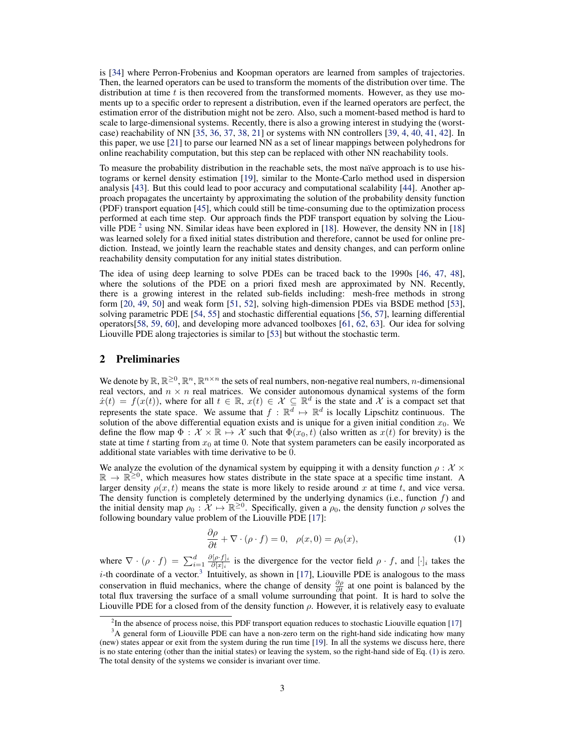<span id="page-2-0"></span>is [\[34\]](#page-10-0) where Perron-Frobenius and Koopman operators are learned from samples of trajectories. Then, the learned operators can be used to transform the moments of the distribution over time. The distribution at time  $t$  is then recovered from the transformed moments. However, as they use moments up to a specific order to represent a distribution, even if the learned operators are perfect, the estimation error of the distribution might not be zero. Also, such a moment-based method is hard to scale to large-dimensional systems. Recently, there is also a growing interest in studying the (worstcase) reachability of NN [\[35,](#page-10-0) [36,](#page-10-0) [37,](#page-10-0) [38,](#page-10-0) [21\]](#page-9-0) or systems with NN controllers [\[39,](#page-10-0) [4,](#page-8-0) [40,](#page-10-0) [41,](#page-10-0) [42\]](#page-10-0). In this paper, we use [\[21\]](#page-9-0) to parse our learned NN as a set of linear mappings between polyhedrons for online reachability computation, but this step can be replaced with other NN reachability tools.

To measure the probability distribution in the reachable sets, the most naïve approach is to use histograms or kernel density estimation [\[19\]](#page-9-0), similar to the Monte-Carlo method used in dispersion analysis [\[43\]](#page-10-0). But this could lead to poor accuracy and computational scalability [\[44\]](#page-10-0). Another approach propagates the uncertainty by approximating the solution of the probability density function (PDF) transport equation [\[45\]](#page-10-0), which could still be time-consuming due to the optimization process performed at each time step. Our approach finds the PDF transport equation by solving the Liouville PDE  $^2$  $^2$  using NN. Similar ideas have been explored in [\[18\]](#page-9-0). However, the density NN in [18] was learned solely for a fixed initial states distribution and therefore, cannot be used for online prediction. Instead, we jointly learn the reachable states and density changes, and can perform online reachability density computation for any initial states distribution.

The idea of using deep learning to solve PDEs can be traced back to the 1990s [\[46,](#page-10-0) [47,](#page-10-0) [48\]](#page-10-0), where the solutions of the PDE on a priori fixed mesh are approximated by NN. Recently, there is a growing interest in the related sub-fields including: mesh-free methods in strong form [\[20,](#page-9-0) [49,](#page-10-0) [50\]](#page-10-0) and weak form [\[51,](#page-10-0) [52\]](#page-10-0), solving high-dimension PDEs via BSDE method [\[53\]](#page-10-0), solving parametric PDE [\[54,](#page-11-0) [55\]](#page-11-0) and stochastic differential equations [\[56,](#page-11-0) [57\]](#page-11-0), learning differential operators[\[58,](#page-11-0) [59,](#page-11-0) [60\]](#page-11-0), and developing more advanced toolboxes [\[61,](#page-11-0) [62,](#page-11-0) [63\]](#page-11-0). Our idea for solving Liouville PDE along trajectories is similar to [\[53\]](#page-10-0) but without the stochastic term.

## 2 Preliminaries

We denote by  $\mathbb{R}, \mathbb{R}^{\geq 0}, \mathbb{R}^n, \mathbb{R}^{n \times n}$  the sets of real numbers, non-negative real numbers, n-dimensional real vectors, and  $n \times n$  real matrices. We consider autonomous dynamical systems of the form  $\dot{x}(t) = f(x(t))$ , where for all  $t \in \mathbb{R}$ ,  $x(t) \in \mathcal{X} \subseteq \mathbb{R}^d$  is the state and X is a compact set that represents the state space. We assume that  $f : \mathbb{R}^d \mapsto \mathbb{R}^d$  is locally Lipschitz continuous. The solution of the above differential equation exists and is unique for a given initial condition  $x_0$ . We define the flow map  $\Phi : \mathcal{X} \times \mathbb{R} \mapsto \mathcal{X}$  such that  $\Phi(x_0, t)$  (also written as  $x(t)$  for brevity) is the state at time t starting from  $x_0$  at time 0. Note that system parameters can be easily incorporated as additional state variables with time derivative to be 0.

We analyze the evolution of the dynamical system by equipping it with a density function  $\rho : \mathcal{X} \times$  $\mathbb{R} \to \mathbb{R}^{\geq 0}$ , which measures how states distribute in the state space at a specific time instant. A larger density  $\rho(x, t)$  means the state is more likely to reside around x at time t, and vice versa. The density function is completely determined by the underlying dynamics (i.e., function  $f$ ) and the initial density map  $\rho_0 : \mathcal{X} \mapsto \mathbb{R}^{\geq 0}$ . Specifically, given a  $\rho_0$ , the density function  $\rho$  solves the following boundary value problem of the Liouville PDE [\[17\]](#page-9-0):

$$
\frac{\partial \rho}{\partial t} + \nabla \cdot (\rho \cdot f) = 0, \quad \rho(x, 0) = \rho_0(x), \tag{1}
$$

where  $\nabla \cdot (\rho \cdot f) = \sum_{i=1}^d \frac{\partial [\rho \cdot f]_i}{\partial [x]_i}$  $\frac{\partial [p \cdot f]_i}{\partial [x]_i}$  is the divergence for the vector field  $\rho \cdot f$ , and  $[\cdot]_i$  takes the *i*-th coordinate of a vector.<sup>[3](#page-0-0)</sup> Intuitively, as shown in [\[17\]](#page-9-0), Liouville PDE is analogous to the mass conservation in fluid mechanics, where the change of density  $\frac{\partial \rho}{\partial t}$  at one point is balanced by the total flux traversing the surface of a small volume surrounding that point. It is hard to solve the Liouville PDE for a closed from of the density function  $\rho$ . However, it is relatively easy to evaluate

<sup>&</sup>lt;sup>2</sup>In the absence of process noise, this PDF transport equation reduces to stochastic Liouville equation [\[17\]](#page-9-0)

<sup>&</sup>lt;sup>3</sup>A general form of Liouville PDE can have a non-zero term on the right-hand side indicating how many (new) states appear or exit from the system during the run time [\[19\]](#page-9-0). In all the systems we discuss here, there is no state entering (other than the initial states) or leaving the system, so the right-hand side of Eq. (1) is zero. The total density of the systems we consider is invariant over time.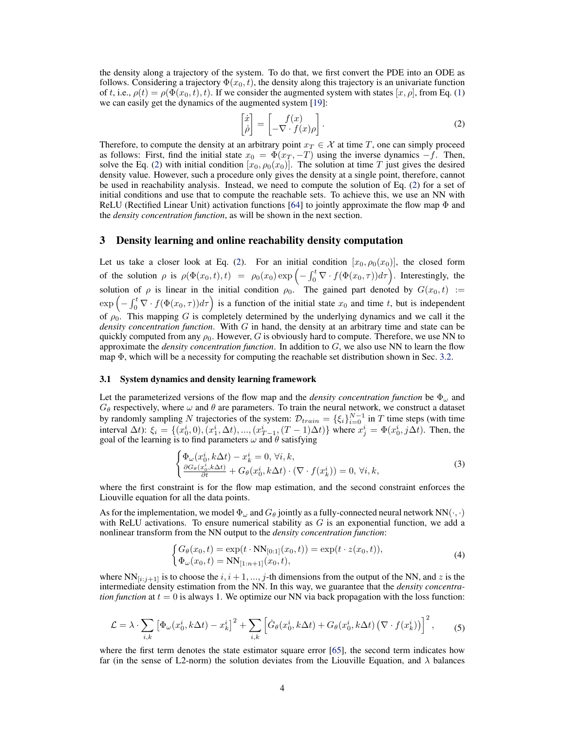<span id="page-3-0"></span>the density along a trajectory of the system. To do that, we first convert the PDE into an ODE as follows. Considering a trajectory  $\Phi(x_0, t)$ , the density along this trajectory is an univariate function of t, i.e.,  $\rho(t) = \rho(\Phi(x_0, t), t)$ . If we consider the augmented system with states  $[x, \rho]$ , from Eq. [\(1\)](#page-2-0) we can easily get the dynamics of the augmented system [\[19\]](#page-9-0):

$$
\begin{bmatrix} \dot{x} \\ \dot{\rho} \end{bmatrix} = \begin{bmatrix} f(x) \\ -\nabla \cdot f(x)\rho \end{bmatrix}.
$$
 (2)

Therefore, to compute the density at an arbitrary point  $x_T \in \mathcal{X}$  at time T, one can simply proceed as follows: First, find the initial state  $x_0 = \Phi(x_T, -T)$  using the inverse dynamics  $-f$ . Then, solve the Eq. (2) with initial condition  $[x_0, \rho_0(x_0)]$ . The solution at time T just gives the desired density value. However, such a procedure only gives the density at a single point, therefore, cannot be used in reachability analysis. Instead, we need to compute the solution of Eq. (2) for a set of initial conditions and use that to compute the reachable sets. To achieve this, we use an NN with ReLU (Rectified Linear Unit) activation functions [\[64\]](#page-11-0) to jointly approximate the flow map  $\Phi$  and the *density concentration function*, as will be shown in the next section.

### 3 Density learning and online reachability density computation

Let us take a closer look at Eq. (2). For an initial condition  $[x_0, \rho_0(x_0)]$ , the closed form of the solution  $\rho$  is  $\rho(\Phi(x_0,t),t) = \rho_0(x_0) \exp\left(-\int_0^t \nabla \cdot f(\Phi(x_0,\tau))d\tau\right)$ . Interestingly, the solution of  $\rho$  is linear in the initial condition  $\rho_0$ . The gained part denoted by  $G(x_0, t) :=$  $\exp\left(-\int_0^t \nabla \cdot f(\Phi(x_0, \tau))d\tau\right)$  is a function of the initial state  $x_0$  and time t, but is independent of  $\rho_0$ . This mapping G is completely determined by the underlying dynamics and we call it the *density concentration function*. With G in hand, the density at an arbitrary time and state can be quickly computed from any  $\rho_0$ . However, G is obviously hard to compute. Therefore, we use NN to approximate the *density concentration function*. In addition to G, we also use NN to learn the flow map  $\Phi$ , which will be a necessity for computing the reachable set distribution shown in Sec. [3.2.](#page-4-0)

#### 3.1 System dynamics and density learning framework

Let the parameterized versions of the flow map and the *density concentration function* be  $\Phi_{\omega}$  and  $G_{\theta}$  respectively, where  $\omega$  and  $\theta$  are parameters. To train the neural network, we construct a dataset by randomly sampling N trajectories of the system:  $\mathcal{D}_{train} = {\{\xi_i\}}_{i=0}^{N-1}$  in T time steps (with time interval  $\Delta t$ ):  $\xi_i = \{(x_0^i, 0), (x_1^i, \Delta t), ..., (x_{T-1}^i, (T-1)\Delta t)\}$  where  $x_j^i = \Phi(x_0^i, j\Delta t)$ . Then, the goal of the learning is to find parameters  $\omega$  and  $\theta$  satisfying

$$
\begin{cases} \Phi_{\omega}(x_0^i, k\Delta t) - x_k^i = 0, \forall i, k, \\ \frac{\partial G_{\theta}(x_0^i, k\Delta t)}{\partial t} + G_{\theta}(x_0^i, k\Delta t) \cdot (\nabla \cdot f(x_k^i)) = 0, \forall i, k, \end{cases}
$$
\n(3)

where the first constraint is for the flow map estimation, and the second constraint enforces the Liouville equation for all the data points.

As for the implementation, we model  $\Phi_\omega$  and  $G_\theta$  jointly as a fully-connected neural network NN( $\cdot$ ,  $\cdot$ ) with ReLU activations. To ensure numerical stability as  $G$  is an exponential function, we add a nonlinear transform from the NN output to the *density concentration function*:

$$
\begin{cases} G_{\theta}(x_0, t) = \exp(t \cdot \text{NN}_{[0:1]}(x_0, t)) = \exp(t \cdot z(x_0, t)), \\ \Phi_{\omega}(x_0, t) = \text{NN}_{[1:n+1]}(x_0, t), \end{cases}
$$
(4)

where  $NN_{[i:j+1]}$  is to choose the  $i, i+1, ..., j$ -th dimensions from the output of the NN, and z is the intermediate density estimation from the NN. In this way, we guarantee that the *density concentration function* at  $t = 0$  is always 1. We optimize our NN via back propagation with the loss function:

$$
\mathcal{L} = \lambda \cdot \sum_{i,k} \left[ \Phi_{\omega}(x_0^i, k\Delta t) - x_k^i \right]^2 + \sum_{i,k} \left[ \dot{G}_{\theta}(x_0^i, k\Delta t) + G_{\theta}(x_0^i, k\Delta t) \left( \nabla \cdot f(x_k^i) \right) \right]^2, \tag{5}
$$

where the first term denotes the state estimator square error [\[65\]](#page-11-0), the second term indicates how far (in the sense of L2-norm) the solution deviates from the Liouville Equation, and  $\lambda$  balances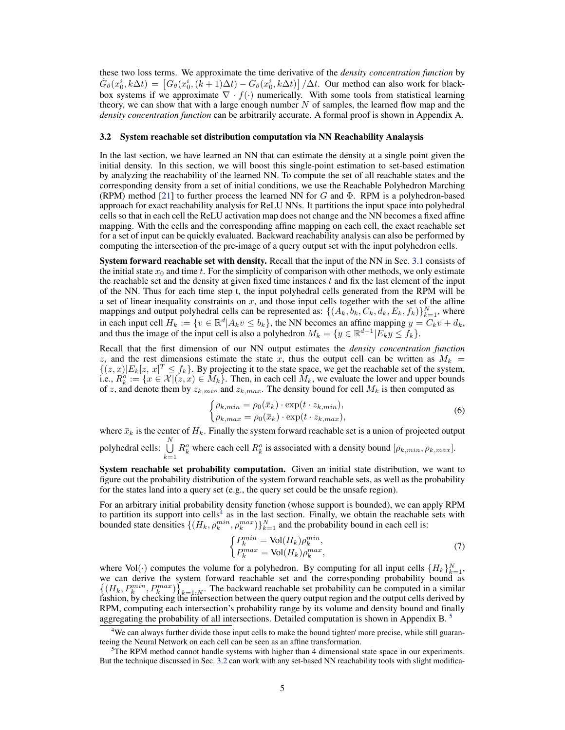<span id="page-4-0"></span>these two loss terms. We approximate the time derivative of the *density concentration function* by  $\dot{G}_{\theta}(x_0^i, k\Delta t) = \left[G_{\theta}(x_0^i, (k+1)\Delta t) - G_{\theta}(x_0^i, k\Delta t)\right] / \Delta t$ . Our method can also work for blackbox systems if we approximate  $\nabla \cdot f(\cdot)$  numerically. With some tools from statistical learning theory, we can show that with a large enough number  $N$  of samples, the learned flow map and the *density concentration function* can be arbitrarily accurate. A formal proof is shown in Appendix A.

#### 3.2 System reachable set distribution computation via NN Reachability Analaysis

In the last section, we have learned an NN that can estimate the density at a single point given the initial density. In this section, we will boost this single-point estimation to set-based estimation by analyzing the reachability of the learned NN. To compute the set of all reachable states and the corresponding density from a set of initial conditions, we use the Reachable Polyhedron Marching (RPM) method [\[21\]](#page-9-0) to further process the learned NN for G and  $\Phi$ . RPM is a polyhedron-based approach for exact reachability analysis for ReLU NNs. It partitions the input space into polyhedral cells so that in each cell the ReLU activation map does not change and the NN becomes a fixed affine mapping. With the cells and the corresponding affine mapping on each cell, the exact reachable set for a set of input can be quickly evaluated. Backward reachability analysis can also be performed by computing the intersection of the pre-image of a query output set with the input polyhedron cells.

System forward reachable set with density. Recall that the input of the NN in Sec. [3.1](#page-3-0) consists of the initial state  $x_0$  and time t. For the simplicity of comparison with other methods, we only estimate the reachable set and the density at given fixed time instances  $t$  and fix the last element of the input of the NN. Thus for each time step t, the input polyhedral cells generated from the RPM will be a set of linear inequality constraints on  $x$ , and those input cells together with the set of the affine mappings and output polyhedral cells can be represented as:  $\{(A_k, b_k, C_k, d_k, E_k, f_k)\}_{k=1}^N$ , where in each input cell  $H_k := \{v \in \mathbb{R}^d | A_k v \leq b_k\}$ , the NN becomes an affine mapping  $y = C_k v + d_k$ , and thus the image of the input cell is also a polyhedron  $M_k = \{y \in \mathbb{R}^{d+1} | E_k y \le f_k\}.$ 

Recall that the first dimension of our NN output estimates the *density concentration function* z, and the rest dimensions estimate the state x, thus the output cell can be written as  $M_k =$  $\{(z,x)|E_k[z, x]^T \leq f_k\}$ . By projecting it to the state space, we get the reachable set of the system, i.e.,  $R_k^o := \{x \in \mathcal{X} | (z, x) \in M_k\}$ . Then, in each cell  $M_k$ , we evaluate the lower and upper bounds of z, and denote them by  $z_{k,min}$  and  $z_{k,max}$ . The density bound for cell  $M_k$  is then computed as

$$
\begin{cases}\n\rho_{k,min} = \rho_0(\bar{x}_k) \cdot \exp(t \cdot z_{k,min}), \\
\rho_{k,max} = \rho_0(\bar{x}_k) \cdot \exp(t \cdot z_{k,max}),\n\end{cases}
$$
\n(6)

where  $\bar{x}_k$  is the center of  $H_k$ . Finally the system forward reachable set is a union of projected output polyhedral cells:  $\bigcup^N$  $k=1$  $R_k^o$  where each cell  $R_k^o$  is associated with a density bound  $[\rho_{k,min}, \rho_{k,max}]$ .

System reachable set probability computation. Given an initial state distribution, we want to figure out the probability distribution of the system forward reachable sets, as well as the probability for the states land into a query set (e.g., the query set could be the unsafe region).

For an arbitrary initial probability density function (whose support is bounded), we can apply RPM to partition its support into cells<sup>[4](#page-0-0)</sup> as in the last section. Finally, we obtain the reachable sets with bounded state densities  $\{(H_k, \rho_k^{min}, \rho_k^{max})\}_{k=1}^N$  and the probability bound in each cell is:

$$
\begin{cases}\nP_k^{min} = \text{Vol}(H_k)\rho_k^{min}, \\
P_k^{max} = \text{Vol}(H_k)\rho_k^{max},\n\end{cases} \tag{7}
$$

where Vol( $\cdot$ ) computes the volume for a polyhedron. By computing for all input cells  $\{H_k\}_{k=1}^N$ , we can derive the system forward reachable set and the corresponding probability bound as  $\{(H_k, P_k^{min}, P_k^{max})\}_{k=1:N}$ . The backward reachable set probability can be computed in a similar fashion, by checking the intersection between the query output region and the output cells derived by RPM, computing each intersection's probability range by its volume and density bound and finally aggregating the probability of all intersections. Detailed computation is shown in Appendix B.<sup>[5](#page-0-0)</sup>

<sup>&</sup>lt;sup>4</sup>We can always further divide those input cells to make the bound tighter/ more precise, while still guaranteeing the Neural Network on each cell can be seen as an affine transformation.

<sup>5</sup>The RPM method cannot handle systems with higher than 4 dimensional state space in our experiments. But the technique discussed in Sec. 3.2 can work with any set-based NN reachability tools with slight modifica-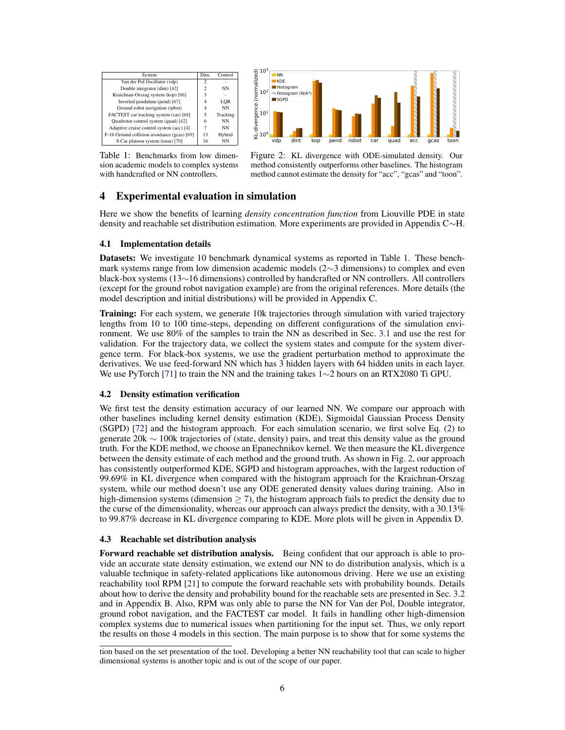



Table 1: Benchmarks from low dimension academic models to complex systems with handcrafted or NN controllers.

Figure 2: KL divergence with ODE-simulated density. Our method consistently outperforms other baselines. The histogram method cannot estimate the density for "acc", "gcas" and "toon".

## 4 Experimental evaluation in simulation

Here we show the benefits of learning *density concentration function* from Liouville PDE in state density and reachable set distribution estimation. More experiments are provided in Appendix C∼H.

### 4.1 Implementation details

Datasets: We investigate 10 benchmark dynamical systems as reported in Table 1. These benchmark systems range from low dimension academic models (2∼3 dimensions) to complex and even black-box systems (13∼16 dimensions) controlled by handcrafted or NN controllers. All controllers (except for the ground robot navigation example) are from the original references. More details (the model description and initial distributions) will be provided in Appendix C.

Training: For each system, we generate 10k trajectories through simulation with varied trajectory lengths from 10 to 100 time-steps, depending on different configurations of the simulation environment. We use 80% of the samples to train the NN as described in Sec. [3.1](#page-3-0) and use the rest for validation. For the trajectory data, we collect the system states and compute for the system divergence term. For black-box systems, we use the gradient perturbation method to approximate the derivatives. We use feed-forward NN which has 3 hidden layers with 64 hidden units in each layer. We use PyTorch [\[71\]](#page-11-0) to train the NN and the training takes 1∼2 hours on an RTX2080 Ti GPU.

#### 4.2 Density estimation verification

We first test the density estimation accuracy of our learned NN. We compare our approach with other baselines including kernel density estimation (KDE), Sigmoidal Gaussian Process Density (SGPD) [\[72\]](#page-11-0) and the histogram approach. For each simulation scenario, we first solve Eq. [\(2\)](#page-3-0) to generate 20k ∼ 100k trajectories of (state, density) pairs, and treat this density value as the ground truth. For the KDE method, we choose an Epanechnikov kernel. We then measure the KL divergence between the density estimate of each method and the ground truth. As shown in Fig. 2, our approach has consistently outperformed KDE, SGPD and histogram approaches, with the largest reduction of 99.69% in KL divergence when compared with the histogram approach for the Kraichnan-Orszag system, while our method doesn't use any ODE generated density values during training. Also in high-dimension systems (dimension  $>$  7), the histogram approach fails to predict the density due to the curse of the dimensionality, whereas our approach can always predict the density, with a 30.13% to 99.87% decrease in KL divergence comparing to KDE. More plots will be given in Appendix D.

#### 4.3 Reachable set distribution analysis

Forward reachable set distribution analysis. Being confident that our approach is able to provide an accurate state density estimation, we extend our NN to do distribution analysis, which is a valuable technique in safety-related applications like autonomous driving. Here we use an existing reachability tool RPM [\[21\]](#page-9-0) to compute the forward reachable sets with probability bounds. Details about how to derive the density and probability bound for the reachable sets are presented in Sec. [3.2](#page-4-0) and in Appendix B. Also, RPM was only able to parse the NN for Van der Pol, Double integrator, ground robot navigation, and the FACTEST car model. It fails in handling other high-dimension complex systems due to numerical issues when partitioning for the input set. Thus, we only report the results on those 4 models in this section. The main purpose is to show that for some systems the

tion based on the set presentation of the tool. Developing a better NN reachability tool that can scale to higher dimensional systems is another topic and is out of the scope of our paper.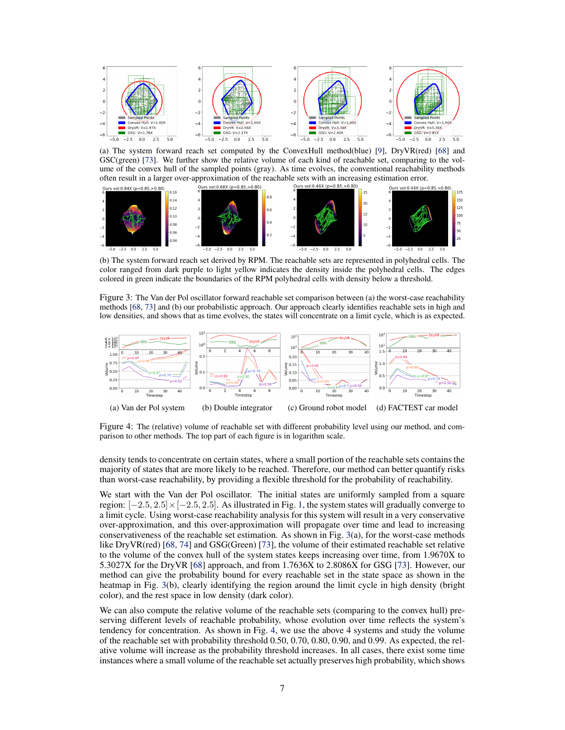<span id="page-6-0"></span>

(a) The system forward reach set computed by the ConvexHull method(blue) [\[9\]](#page-8-0), DryVR(red) [\[68\]](#page-11-0) and GSC(green) [\[73\]](#page-12-0). We further show the relative volume of each kind of reachable set, comparing to the volume of the convex hull of the sampled points (gray). As time evolves, the conventional reachability methods often result in a larger over-approximation of the reachable sets with an increasing estimation error.



(b) The system forward reach set derived by RPM. The reachable sets are represented in polyhedral cells. The color ranged from dark purple to light yellow indicates the density inside the polyhedral cells. The edges colored in green indicate the boundaries of the RPM polyhedral cells with density below a threshold.

Figure 3: The Van der Pol oscillator forward reachable set comparison between (a) the worst-case reachability methods [\[68,](#page-11-0) [73\]](#page-12-0) and (b) our probabilistic approach. Our approach clearly identifies reachable sets in high and low densities, and shows that as time evolves, the states will concentrate on a limit cycle, which is as expected.



Figure 4: The (relative) volume of reachable set with different probability level using our method, and comparison to other methods. The top part of each figure is in logarithm scale.

density tends to concentrate on certain states, where a small portion of the reachable sets contains the majority of states that are more likely to be reached. Therefore, our method can better quantify risks than worst-case reachability, by providing a flexible threshold for the probability of reachability.

We start with the Van der Pol oscillator. The initial states are uniformly sampled from a square region:  $[-2.5, 2.5] \times [-2.5, 2.5]$ . As illustrated in Fig. [1,](#page-0-0) the system states will gradually converge to a limit cycle. Using worst-case reachability analysis for this system will result in a very conservative over-approximation, and this over-approximation will propagate over time and lead to increasing conservativeness of the reachable set estimation. As shown in Fig. 3(a), for the worst-case methods like DryVR(red) [\[68,](#page-11-0) [74\]](#page-12-0) and GSG(Green) [\[73\]](#page-12-0), the volume of their estimated reachable set relative to the volume of the convex hull of the system states keeps increasing over time, from 1.9670X to 5.3027X for the DryVR [\[68\]](#page-11-0) approach, and from 1.7636X to 2.8086X for GSG [\[73\]](#page-12-0). However, our method can give the probability bound for every reachable set in the state space as shown in the heatmap in Fig. 3(b), clearly identifying the region around the limit cycle in high density (bright color), and the rest space in low density (dark color).

We can also compute the relative volume of the reachable sets (comparing to the convex hull) preserving different levels of reachable probability, whose evolution over time reflects the system's tendency for concentration. As shown in Fig. 4, we use the above 4 systems and study the volume of the reachable set with probability threshold 0.50, 0.70, 0.80, 0.90, and 0.99. As expected, the relative volume will increase as the probability threshold increases. In all cases, there exist some time instances where a small volume of the reachable set actually preserves high probability, which shows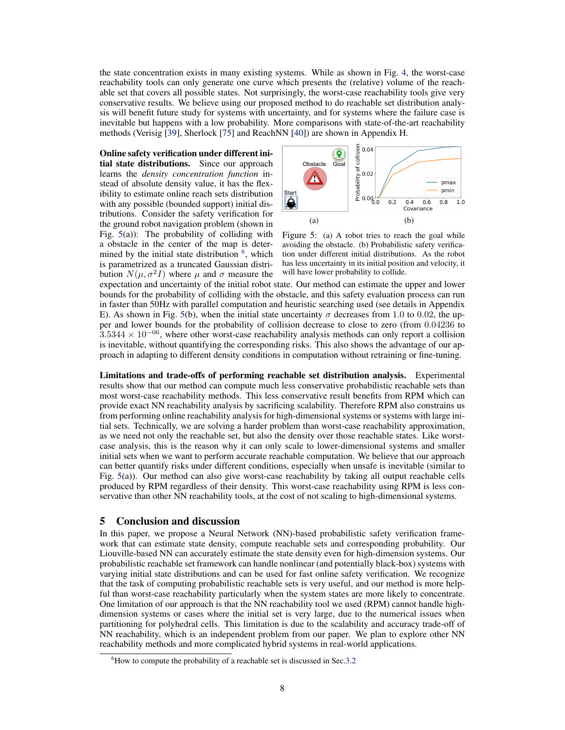the state concentration exists in many existing systems. While as shown in Fig. [4,](#page-6-0) the worst-case reachability tools can only generate one curve which presents the (relative) volume of the reachable set that covers all possible states. Not surprisingly, the worst-case reachability tools give very conservative results. We believe using our proposed method to do reachable set distribution analysis will benefit future study for systems with uncertainty, and for systems where the failure case is inevitable but happens with a low probability. More comparisons with state-of-the-art reachability methods (Verisig [\[39\]](#page-10-0), Sherlock [\[75\]](#page-12-0) and ReachNN [\[40\]](#page-10-0)) are shown in Appendix H.

Online safety verification under different initial state distributions. Since our approach learns the *density concentration function* instead of absolute density value, it has the flexibility to estimate online reach sets distribution with any possible (bounded support) initial distributions. Consider the safety verification for the ground robot navigation problem (shown in Fig.  $5(a)$ : The probability of colliding with a obstacle in the center of the map is determined by the initial state distribution  $6$ , which is parametrized as a truncated Gaussian distribution  $N(\mu, \sigma^2 I)$  where  $\mu$  and  $\sigma$  measure the



Figure 5: (a) A robot tries to reach the goal while avoiding the obstacle. (b) Probabilistic safety verification under different initial distributions. As the robot has less uncertainty in its initial position and velocity, it will have lower probability to collide.

expectation and uncertainty of the initial robot state. Our method can estimate the upper and lower bounds for the probability of colliding with the obstacle, and this safety evaluation process can run in faster than 50Hz with parallel computation and heuristic searching used (see details in Appendix E). As shown in Fig. 5(b), when the initial state uncertainty  $\sigma$  decreases from 1.0 to 0.02, the upper and lower bounds for the probability of collision decrease to close to zero (from 0.04236 to  $3.5344 \times 10^{-06}$ , where other worst-case reachability analysis methods can only report a collision is inevitable, without quantifying the corresponding risks. This also shows the advantage of our approach in adapting to different density conditions in computation without retraining or fine-tuning.

Limitations and trade-offs of performing reachable set distribution analysis. Experimental results show that our method can compute much less conservative probabilistic reachable sets than most worst-case reachability methods. This less conservative result benefits from RPM which can provide exact NN reachability analysis by sacrificing scalability. Therefore RPM also constrains us from performing online reachability analysis for high-dimensional systems or systems with large initial sets. Technically, we are solving a harder problem than worst-case reachability approximation, as we need not only the reachable set, but also the density over those reachable states. Like worstcase analysis, this is the reason why it can only scale to lower-dimensional systems and smaller initial sets when we want to perform accurate reachable computation. We believe that our approach can better quantify risks under different conditions, especially when unsafe is inevitable (similar to Fig. 5(a)). Our method can also give worst-case reachability by taking all output reachable cells produced by RPM regardless of their density. This worst-case reachability using RPM is less conservative than other NN reachability tools, at the cost of not scaling to high-dimensional systems.

### 5 Conclusion and discussion

In this paper, we propose a Neural Network (NN)-based probabilistic safety verification framework that can estimate state density, compute reachable sets and corresponding probability. Our Liouville-based NN can accurately estimate the state density even for high-dimension systems. Our probabilistic reachable set framework can handle nonlinear (and potentially black-box) systems with varying initial state distributions and can be used for fast online safety verification. We recognize that the task of computing probabilistic reachable sets is very useful, and our method is more helpful than worst-case reachability particularly when the system states are more likely to concentrate. One limitation of our approach is that the NN reachability tool we used (RPM) cannot handle highdimension systems or cases where the initial set is very large, due to the numerical issues when partitioning for polyhedral cells. This limitation is due to the scalability and accuracy trade-off of NN reachability, which is an independent problem from our paper. We plan to explore other NN reachability methods and more complicated hybrid systems in real-world applications.

 $6$ How to compute the probability of a reachable set is discussed in Sec[.3.2](#page-4-0)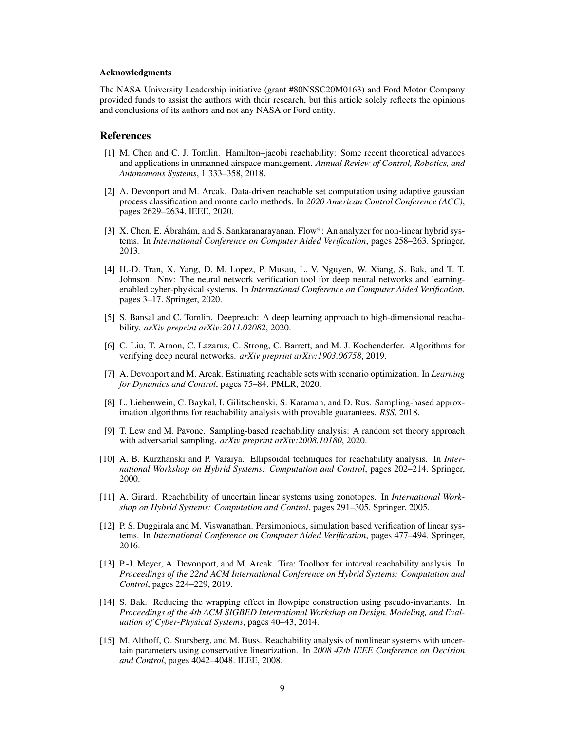#### <span id="page-8-0"></span>Acknowledgments

The NASA University Leadership initiative (grant #80NSSC20M0163) and Ford Motor Company provided funds to assist the authors with their research, but this article solely reflects the opinions and conclusions of its authors and not any NASA or Ford entity.

### References

- [1] M. Chen and C. J. Tomlin. Hamilton–jacobi reachability: Some recent theoretical advances and applications in unmanned airspace management. *Annual Review of Control, Robotics, and Autonomous Systems*, 1:333–358, 2018.
- [2] A. Devonport and M. Arcak. Data-driven reachable set computation using adaptive gaussian process classification and monte carlo methods. In *2020 American Control Conference (ACC)*, pages 2629–2634. IEEE, 2020.
- [3] X. Chen, E. Abrahám, and S. Sankaranarayanan. Flow\*: An analyzer for non-linear hybrid systems. In *International Conference on Computer Aided Verification*, pages 258–263. Springer, 2013.
- [4] H.-D. Tran, X. Yang, D. M. Lopez, P. Musau, L. V. Nguyen, W. Xiang, S. Bak, and T. T. Johnson. Nnv: The neural network verification tool for deep neural networks and learningenabled cyber-physical systems. In *International Conference on Computer Aided Verification*, pages 3–17. Springer, 2020.
- [5] S. Bansal and C. Tomlin. Deepreach: A deep learning approach to high-dimensional reachability. *arXiv preprint arXiv:2011.02082*, 2020.
- [6] C. Liu, T. Arnon, C. Lazarus, C. Strong, C. Barrett, and M. J. Kochenderfer. Algorithms for verifying deep neural networks. *arXiv preprint arXiv:1903.06758*, 2019.
- [7] A. Devonport and M. Arcak. Estimating reachable sets with scenario optimization. In *Learning for Dynamics and Control*, pages 75–84. PMLR, 2020.
- [8] L. Liebenwein, C. Baykal, I. Gilitschenski, S. Karaman, and D. Rus. Sampling-based approximation algorithms for reachability analysis with provable guarantees. *RSS*, 2018.
- [9] T. Lew and M. Pavone. Sampling-based reachability analysis: A random set theory approach with adversarial sampling. *arXiv preprint arXiv:2008.10180*, 2020.
- [10] A. B. Kurzhanski and P. Varaiya. Ellipsoidal techniques for reachability analysis. In *International Workshop on Hybrid Systems: Computation and Control*, pages 202–214. Springer, 2000.
- [11] A. Girard. Reachability of uncertain linear systems using zonotopes. In *International Workshop on Hybrid Systems: Computation and Control*, pages 291–305. Springer, 2005.
- [12] P. S. Duggirala and M. Viswanathan. Parsimonious, simulation based verification of linear systems. In *International Conference on Computer Aided Verification*, pages 477–494. Springer, 2016.
- [13] P.-J. Meyer, A. Devonport, and M. Arcak. Tira: Toolbox for interval reachability analysis. In *Proceedings of the 22nd ACM International Conference on Hybrid Systems: Computation and Control*, pages 224–229, 2019.
- [14] S. Bak. Reducing the wrapping effect in flowpipe construction using pseudo-invariants. In *Proceedings of the 4th ACM SIGBED International Workshop on Design, Modeling, and Evaluation of Cyber-Physical Systems*, pages 40–43, 2014.
- [15] M. Althoff, O. Stursberg, and M. Buss. Reachability analysis of nonlinear systems with uncertain parameters using conservative linearization. In *2008 47th IEEE Conference on Decision and Control*, pages 4042–4048. IEEE, 2008.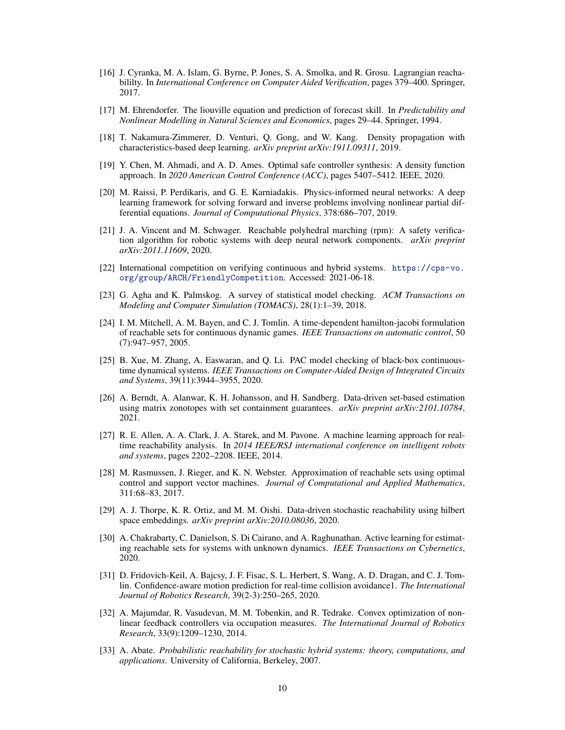- <span id="page-9-0"></span>[16] J. Cyranka, M. A. Islam, G. Byrne, P. Jones, S. A. Smolka, and R. Grosu. Lagrangian reachabililty. In *International Conference on Computer Aided Verification*, pages 379–400. Springer, 2017.
- [17] M. Ehrendorfer. The liouville equation and prediction of forecast skill. In *Predictability and Nonlinear Modelling in Natural Sciences and Economics*, pages 29–44. Springer, 1994.
- [18] T. Nakamura-Zimmerer, D. Venturi, Q. Gong, and W. Kang. Density propagation with characteristics-based deep learning. *arXiv preprint arXiv:1911.09311*, 2019.
- [19] Y. Chen, M. Ahmadi, and A. D. Ames. Optimal safe controller synthesis: A density function approach. In *2020 American Control Conference (ACC)*, pages 5407–5412. IEEE, 2020.
- [20] M. Raissi, P. Perdikaris, and G. E. Karniadakis. Physics-informed neural networks: A deep learning framework for solving forward and inverse problems involving nonlinear partial differential equations. *Journal of Computational Physics*, 378:686–707, 2019.
- [21] J. A. Vincent and M. Schwager. Reachable polyhedral marching (rpm): A safety verification algorithm for robotic systems with deep neural network components. *arXiv preprint arXiv:2011.11609*, 2020.
- [22] International competition on verifying continuous and hybrid systems. [https://cps-vo.](https://cps-vo.org/group/ARCH/FriendlyCompetition) [org/group/ARCH/FriendlyCompetition](https://cps-vo.org/group/ARCH/FriendlyCompetition). Accessed: 2021-06-18.
- [23] G. Agha and K. Palmskog. A survey of statistical model checking. *ACM Transactions on Modeling and Computer Simulation (TOMACS)*, 28(1):1–39, 2018.
- [24] I. M. Mitchell, A. M. Bayen, and C. J. Tomlin. A time-dependent hamilton-jacobi formulation of reachable sets for continuous dynamic games. *IEEE Transactions on automatic control*, 50 (7):947–957, 2005.
- [25] B. Xue, M. Zhang, A. Easwaran, and Q. Li. PAC model checking of black-box continuoustime dynamical systems. *IEEE Transactions on Computer-Aided Design of Integrated Circuits and Systems*, 39(11):3944–3955, 2020.
- [26] A. Berndt, A. Alanwar, K. H. Johansson, and H. Sandberg. Data-driven set-based estimation using matrix zonotopes with set containment guarantees. *arXiv preprint arXiv:2101.10784*, 2021.
- [27] R. E. Allen, A. A. Clark, J. A. Starek, and M. Pavone. A machine learning approach for realtime reachability analysis. In *2014 IEEE/RSJ international conference on intelligent robots and systems*, pages 2202–2208. IEEE, 2014.
- [28] M. Rasmussen, J. Rieger, and K. N. Webster. Approximation of reachable sets using optimal control and support vector machines. *Journal of Computational and Applied Mathematics*, 311:68–83, 2017.
- [29] A. J. Thorpe, K. R. Ortiz, and M. M. Oishi. Data-driven stochastic reachability using hilbert space embeddings. *arXiv preprint arXiv:2010.08036*, 2020.
- [30] A. Chakrabarty, C. Danielson, S. Di Cairano, and A. Raghunathan. Active learning for estimating reachable sets for systems with unknown dynamics. *IEEE Transactions on Cybernetics*, 2020.
- [31] D. Fridovich-Keil, A. Bajcsy, J. F. Fisac, S. L. Herbert, S. Wang, A. D. Dragan, and C. J. Tomlin. Confidence-aware motion prediction for real-time collision avoidance1. *The International Journal of Robotics Research*, 39(2-3):250–265, 2020.
- [32] A. Majumdar, R. Vasudevan, M. M. Tobenkin, and R. Tedrake. Convex optimization of nonlinear feedback controllers via occupation measures. *The International Journal of Robotics Research*, 33(9):1209–1230, 2014.
- [33] A. Abate. *Probabilistic reachability for stochastic hybrid systems: theory, computations, and applications*. University of California, Berkeley, 2007.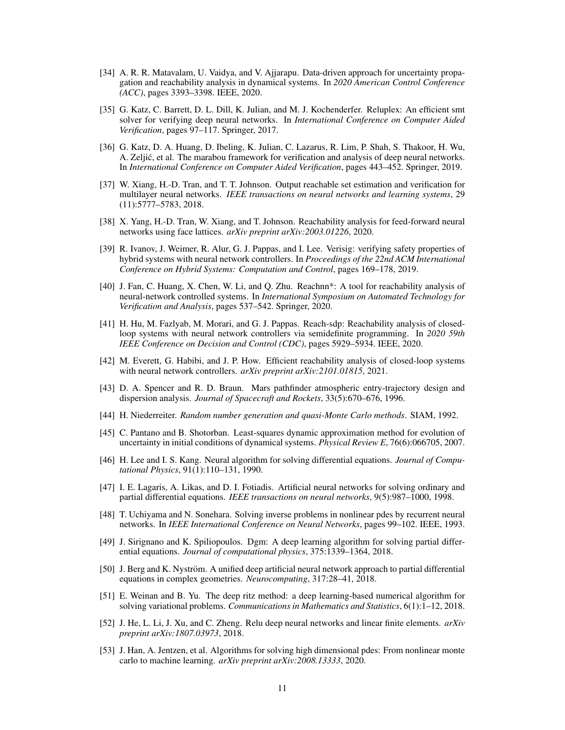- <span id="page-10-0"></span>[34] A. R. R. Matavalam, U. Vaidya, and V. Ajjarapu. Data-driven approach for uncertainty propagation and reachability analysis in dynamical systems. In *2020 American Control Conference (ACC)*, pages 3393–3398. IEEE, 2020.
- [35] G. Katz, C. Barrett, D. L. Dill, K. Julian, and M. J. Kochenderfer. Reluplex: An efficient smt solver for verifying deep neural networks. In *International Conference on Computer Aided Verification*, pages 97–117. Springer, 2017.
- [36] G. Katz, D. A. Huang, D. Ibeling, K. Julian, C. Lazarus, R. Lim, P. Shah, S. Thakoor, H. Wu, A. Zeljic, et al. The marabou framework for verification and analysis of deep neural networks. ´ In *International Conference on Computer Aided Verification*, pages 443–452. Springer, 2019.
- [37] W. Xiang, H.-D. Tran, and T. T. Johnson. Output reachable set estimation and verification for multilayer neural networks. *IEEE transactions on neural networks and learning systems*, 29 (11):5777–5783, 2018.
- [38] X. Yang, H.-D. Tran, W. Xiang, and T. Johnson. Reachability analysis for feed-forward neural networks using face lattices. *arXiv preprint arXiv:2003.01226*, 2020.
- [39] R. Ivanov, J. Weimer, R. Alur, G. J. Pappas, and I. Lee. Verisig: verifying safety properties of hybrid systems with neural network controllers. In *Proceedings of the 22nd ACM International Conference on Hybrid Systems: Computation and Control*, pages 169–178, 2019.
- [40] J. Fan, C. Huang, X. Chen, W. Li, and Q. Zhu. Reachnn\*: A tool for reachability analysis of neural-network controlled systems. In *International Symposium on Automated Technology for Verification and Analysis*, pages 537–542. Springer, 2020.
- [41] H. Hu, M. Fazlyab, M. Morari, and G. J. Pappas. Reach-sdp: Reachability analysis of closedloop systems with neural network controllers via semidefinite programming. In *2020 59th IEEE Conference on Decision and Control (CDC)*, pages 5929–5934. IEEE, 2020.
- [42] M. Everett, G. Habibi, and J. P. How. Efficient reachability analysis of closed-loop systems with neural network controllers. *arXiv preprint arXiv:2101.01815*, 2021.
- [43] D. A. Spencer and R. D. Braun. Mars pathfinder atmospheric entry-trajectory design and dispersion analysis. *Journal of Spacecraft and Rockets*, 33(5):670–676, 1996.
- [44] H. Niederreiter. *Random number generation and quasi-Monte Carlo methods*. SIAM, 1992.
- [45] C. Pantano and B. Shotorban. Least-squares dynamic approximation method for evolution of uncertainty in initial conditions of dynamical systems. *Physical Review E*, 76(6):066705, 2007.
- [46] H. Lee and I. S. Kang. Neural algorithm for solving differential equations. *Journal of Computational Physics*, 91(1):110–131, 1990.
- [47] I. E. Lagaris, A. Likas, and D. I. Fotiadis. Artificial neural networks for solving ordinary and partial differential equations. *IEEE transactions on neural networks*, 9(5):987–1000, 1998.
- [48] T. Uchiyama and N. Sonehara. Solving inverse problems in nonlinear pdes by recurrent neural networks. In *IEEE International Conference on Neural Networks*, pages 99–102. IEEE, 1993.
- [49] J. Sirignano and K. Spiliopoulos. Dgm: A deep learning algorithm for solving partial differential equations. *Journal of computational physics*, 375:1339–1364, 2018.
- [50] J. Berg and K. Nyström. A unified deep artificial neural network approach to partial differential equations in complex geometries. *Neurocomputing*, 317:28–41, 2018.
- [51] E. Weinan and B. Yu. The deep ritz method: a deep learning-based numerical algorithm for solving variational problems. *Communications in Mathematics and Statistics*, 6(1):1–12, 2018.
- [52] J. He, L. Li, J. Xu, and C. Zheng. Relu deep neural networks and linear finite elements. *arXiv preprint arXiv:1807.03973*, 2018.
- [53] J. Han, A. Jentzen, et al. Algorithms for solving high dimensional pdes: From nonlinear monte carlo to machine learning. *arXiv preprint arXiv:2008.13333*, 2020.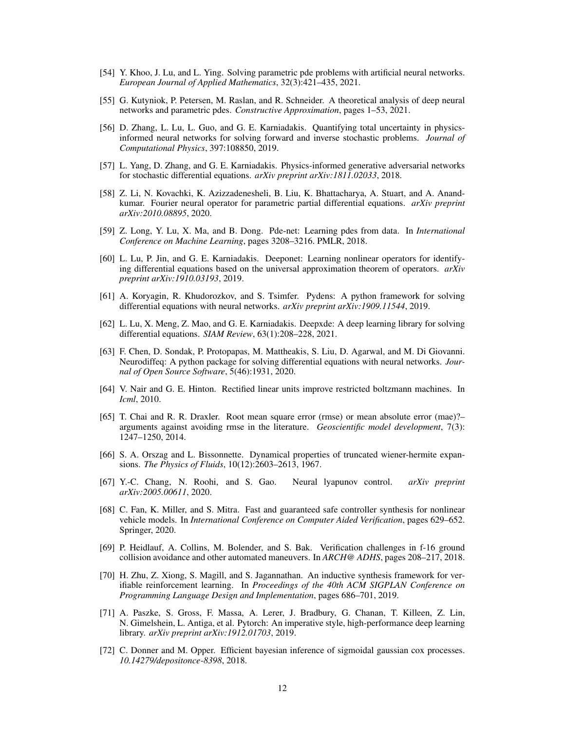- <span id="page-11-0"></span>[54] Y. Khoo, J. Lu, and L. Ying. Solving parametric pde problems with artificial neural networks. *European Journal of Applied Mathematics*, 32(3):421–435, 2021.
- [55] G. Kutyniok, P. Petersen, M. Raslan, and R. Schneider. A theoretical analysis of deep neural networks and parametric pdes. *Constructive Approximation*, pages 1–53, 2021.
- [56] D. Zhang, L. Lu, L. Guo, and G. E. Karniadakis. Quantifying total uncertainty in physicsinformed neural networks for solving forward and inverse stochastic problems. *Journal of Computational Physics*, 397:108850, 2019.
- [57] L. Yang, D. Zhang, and G. E. Karniadakis. Physics-informed generative adversarial networks for stochastic differential equations. *arXiv preprint arXiv:1811.02033*, 2018.
- [58] Z. Li, N. Kovachki, K. Azizzadenesheli, B. Liu, K. Bhattacharya, A. Stuart, and A. Anandkumar. Fourier neural operator for parametric partial differential equations. *arXiv preprint arXiv:2010.08895*, 2020.
- [59] Z. Long, Y. Lu, X. Ma, and B. Dong. Pde-net: Learning pdes from data. In *International Conference on Machine Learning*, pages 3208–3216. PMLR, 2018.
- [60] L. Lu, P. Jin, and G. E. Karniadakis. Deeponet: Learning nonlinear operators for identifying differential equations based on the universal approximation theorem of operators. *arXiv preprint arXiv:1910.03193*, 2019.
- [61] A. Koryagin, R. Khudorozkov, and S. Tsimfer. Pydens: A python framework for solving differential equations with neural networks. *arXiv preprint arXiv:1909.11544*, 2019.
- [62] L. Lu, X. Meng, Z. Mao, and G. E. Karniadakis. Deepxde: A deep learning library for solving differential equations. *SIAM Review*, 63(1):208–228, 2021.
- [63] F. Chen, D. Sondak, P. Protopapas, M. Mattheakis, S. Liu, D. Agarwal, and M. Di Giovanni. Neurodiffeq: A python package for solving differential equations with neural networks. *Journal of Open Source Software*, 5(46):1931, 2020.
- [64] V. Nair and G. E. Hinton. Rectified linear units improve restricted boltzmann machines. In *Icml*, 2010.
- [65] T. Chai and R. R. Draxler. Root mean square error (rmse) or mean absolute error (mae)?– arguments against avoiding rmse in the literature. *Geoscientific model development*, 7(3): 1247–1250, 2014.
- [66] S. A. Orszag and L. Bissonnette. Dynamical properties of truncated wiener-hermite expansions. *The Physics of Fluids*, 10(12):2603–2613, 1967.
- [67] Y.-C. Chang, N. Roohi, and S. Gao. Neural lyapunov control. *arXiv preprint arXiv:2005.00611*, 2020.
- [68] C. Fan, K. Miller, and S. Mitra. Fast and guaranteed safe controller synthesis for nonlinear vehicle models. In *International Conference on Computer Aided Verification*, pages 629–652. Springer, 2020.
- [69] P. Heidlauf, A. Collins, M. Bolender, and S. Bak. Verification challenges in f-16 ground collision avoidance and other automated maneuvers. In *ARCH@ ADHS*, pages 208–217, 2018.
- [70] H. Zhu, Z. Xiong, S. Magill, and S. Jagannathan. An inductive synthesis framework for verifiable reinforcement learning. In *Proceedings of the 40th ACM SIGPLAN Conference on Programming Language Design and Implementation*, pages 686–701, 2019.
- [71] A. Paszke, S. Gross, F. Massa, A. Lerer, J. Bradbury, G. Chanan, T. Killeen, Z. Lin, N. Gimelshein, L. Antiga, et al. Pytorch: An imperative style, high-performance deep learning library. *arXiv preprint arXiv:1912.01703*, 2019.
- [72] C. Donner and M. Opper. Efficient bayesian inference of sigmoidal gaussian cox processes. *10.14279/depositonce-8398*, 2018.